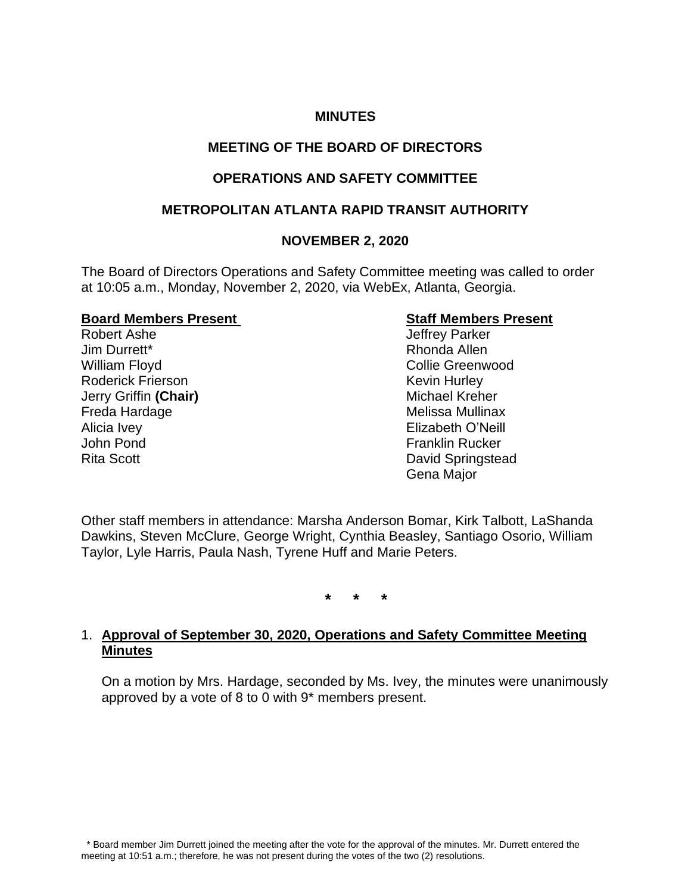# **MINUTES**

# **MEETING OF THE BOARD OF DIRECTORS**

# **OPERATIONS AND SAFETY COMMITTEE**

# **METROPOLITAN ATLANTA RAPID TRANSIT AUTHORITY**

## **NOVEMBER 2, 2020**

The Board of Directors Operations and Safety Committee meeting was called to order at 10:05 a.m., Monday, November 2, 2020, via WebEx, Atlanta, Georgia.

#### **Board Members Present Staff Members Present**

Robert Ashe **Internal and Accord Ashering Contract Contract Accord Accord Accord Accord Accord Accord Accord Accord Accord Accord Accord Accord Accord Accord Accord Accord Accord Accord Accord Accord Accord Accord Accord A** Jim Durrett\* Rhonda Allen William Floyd **Collie Greenwood** Collie Greenwood Roderick Frierson **Kevin Hurley** Kevin Hurley **Jerry Griffin (Chair)** Michael Kreher Freda Hardage **Melissa Mullinax** Alicia Ivey **Alicia Ivey Elizabeth O'Neill** John Pond Franklin Rucker Rita Scott **David Springstead** 

Gena Major

Other staff members in attendance: Marsha Anderson Bomar, Kirk Talbott, LaShanda Dawkins, Steven McClure, George Wright, Cynthia Beasley, Santiago Osorio, William Taylor, Lyle Harris, Paula Nash, Tyrene Huff and Marie Peters.

**\* \* \***

## 1. **Approval of September 30, 2020, Operations and Safety Committee Meeting Minutes**

On a motion by Mrs. Hardage, seconded by Ms. Ivey, the minutes were unanimously approved by a vote of 8 to 0 with 9\* members present.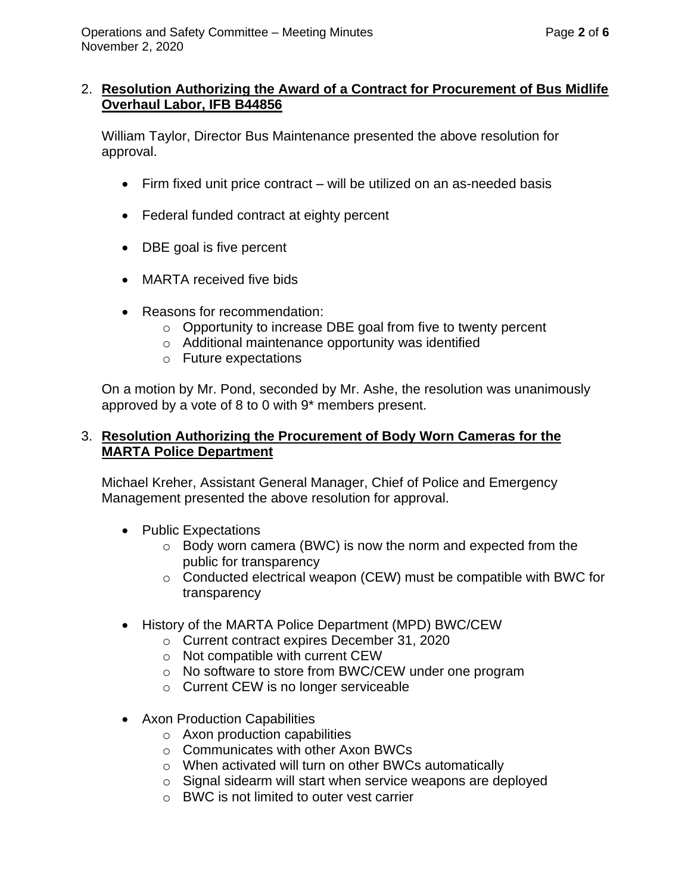#### 2. **Resolution Authorizing the Award of a Contract for Procurement of Bus Midlife Overhaul Labor, IFB B44856**

William Taylor, Director Bus Maintenance presented the above resolution for approval.

- Firm fixed unit price contract will be utilized on an as-needed basis
- Federal funded contract at eighty percent
- DBE goal is five percent
- MARTA received five bids
- Reasons for recommendation:
	- $\circ$  Opportunity to increase DBE goal from five to twenty percent
	- o Additional maintenance opportunity was identified
	- o Future expectations

On a motion by Mr. Pond, seconded by Mr. Ashe, the resolution was unanimously approved by a vote of 8 to 0 with 9\* members present.

# 3. **Resolution Authorizing the Procurement of Body Worn Cameras for the MARTA Police Department**

Michael Kreher, Assistant General Manager, Chief of Police and Emergency Management presented the above resolution for approval.

- Public Expectations
	- o Body worn camera (BWC) is now the norm and expected from the public for transparency
	- o Conducted electrical weapon (CEW) must be compatible with BWC for transparency
- History of the MARTA Police Department (MPD) BWC/CEW
	- o Current contract expires December 31, 2020
	- o Not compatible with current CEW
	- o No software to store from BWC/CEW under one program
	- o Current CEW is no longer serviceable
- Axon Production Capabilities
	- o Axon production capabilities
	- o Communicates with other Axon BWCs
	- o When activated will turn on other BWCs automatically
	- o Signal sidearm will start when service weapons are deployed
	- o BWC is not limited to outer vest carrier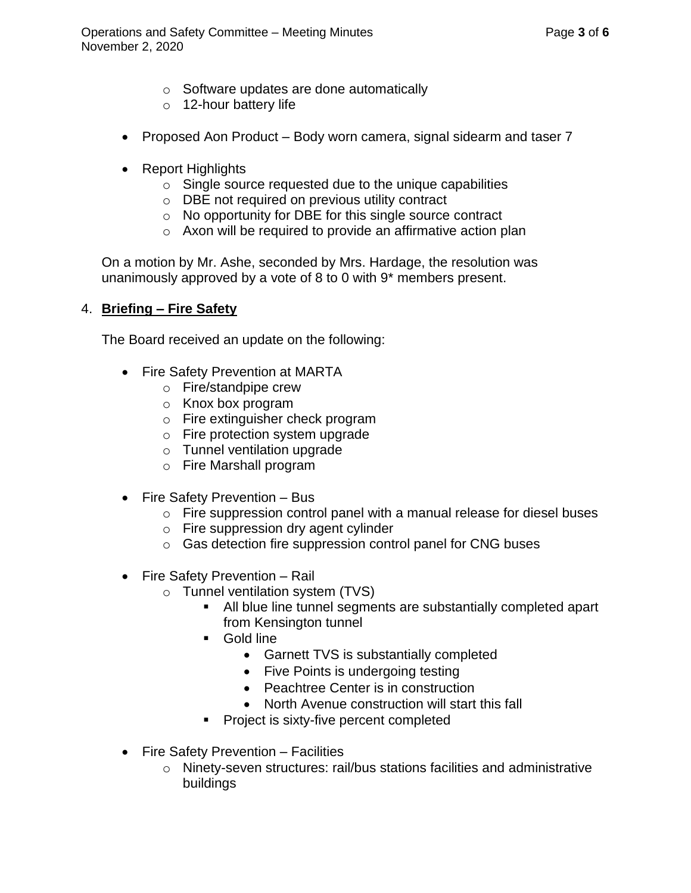- o Software updates are done automatically
- o 12-hour battery life
- Proposed Aon Product Body worn camera, signal sidearm and taser 7
- Report Highlights
	- $\circ$  Single source requested due to the unique capabilities
	- o DBE not required on previous utility contract
	- o No opportunity for DBE for this single source contract
	- o Axon will be required to provide an affirmative action plan

On a motion by Mr. Ashe, seconded by Mrs. Hardage, the resolution was unanimously approved by a vote of 8 to 0 with 9\* members present.

# 4. **Briefing – Fire Safety**

The Board received an update on the following:

- Fire Safety Prevention at MARTA
	- o Fire/standpipe crew
	- o Knox box program
	- o Fire extinguisher check program
	- o Fire protection system upgrade
	- o Tunnel ventilation upgrade
	- o Fire Marshall program
- Fire Safety Prevention Bus
	- o Fire suppression control panel with a manual release for diesel buses
	- o Fire suppression dry agent cylinder
	- o Gas detection fire suppression control panel for CNG buses
- Fire Safety Prevention Rail
	- o Tunnel ventilation system (TVS)
		- All blue line tunnel segments are substantially completed apart from Kensington tunnel
		- Gold line
			- Garnett TVS is substantially completed
			- Five Points is undergoing testing
			- Peachtree Center is in construction
			- North Avenue construction will start this fall
		- Project is sixty-five percent completed
- Fire Safety Prevention Facilities
	- o Ninety-seven structures: rail/bus stations facilities and administrative buildings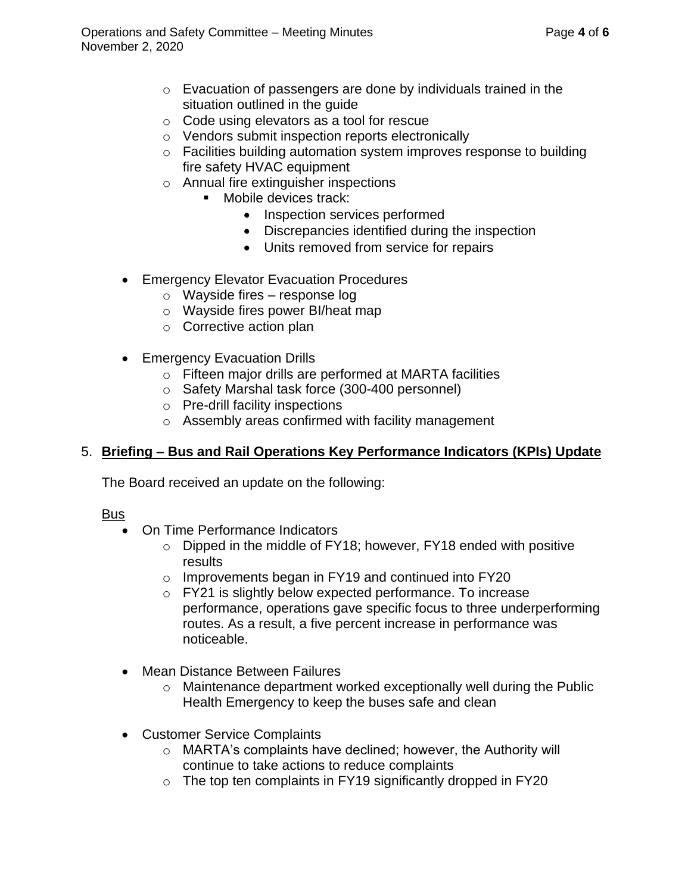- o Evacuation of passengers are done by individuals trained in the situation outlined in the guide
- o Code using elevators as a tool for rescue
- o Vendors submit inspection reports electronically
- o Facilities building automation system improves response to building fire safety HVAC equipment
- o Annual fire extinguisher inspections
	- Mobile devices track:
		- Inspection services performed
		- Discrepancies identified during the inspection
		- Units removed from service for repairs
- Emergency Elevator Evacuation Procedures
	- o Wayside fires response log
	- o Wayside fires power BI/heat map
	- o Corrective action plan
- Emergency Evacuation Drills
	- o Fifteen major drills are performed at MARTA facilities
	- o Safety Marshal task force (300-400 personnel)
	- o Pre-drill facility inspections
	- o Assembly areas confirmed with facility management

# 5. **Briefing – Bus and Rail Operations Key Performance Indicators (KPIs) Update**

The Board received an update on the following:

# **Bus**

- On Time Performance Indicators
	- o Dipped in the middle of FY18; however, FY18 ended with positive results
	- o Improvements began in FY19 and continued into FY20
	- o FY21 is slightly below expected performance. To increase performance, operations gave specific focus to three underperforming routes. As a result, a five percent increase in performance was noticeable.
- Mean Distance Between Failures
	- $\circ$  Maintenance department worked exceptionally well during the Public Health Emergency to keep the buses safe and clean
- Customer Service Complaints
	- o MARTA's complaints have declined; however, the Authority will continue to take actions to reduce complaints
	- $\circ$  The top ten complaints in FY19 significantly dropped in FY20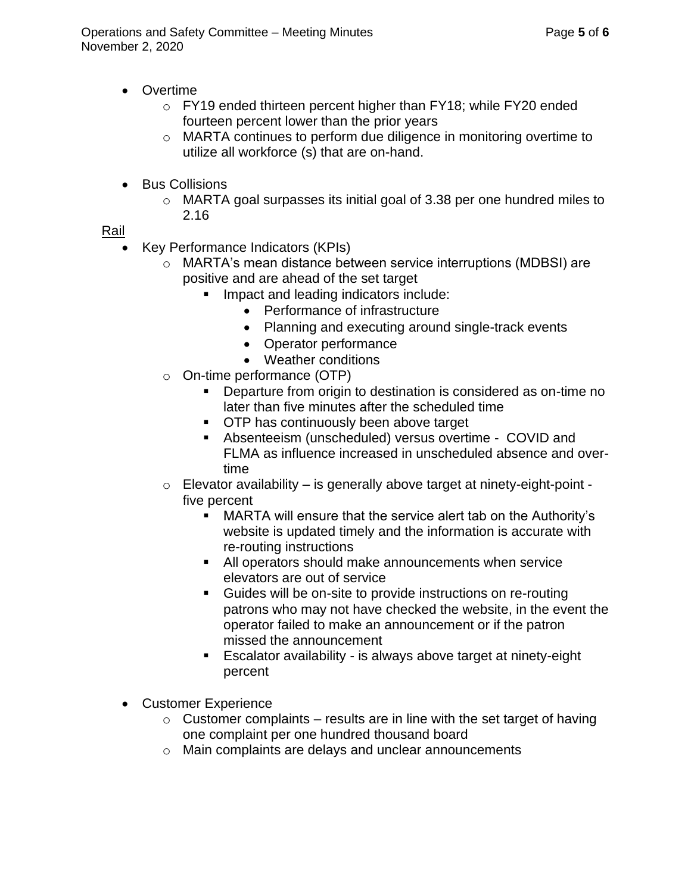- Overtime
	- o FY19 ended thirteen percent higher than FY18; while FY20 ended fourteen percent lower than the prior years
	- o MARTA continues to perform due diligence in monitoring overtime to utilize all workforce (s) that are on-hand.
- Bus Collisions
	- $\circ$  MARTA goal surpasses its initial goal of 3.38 per one hundred miles to 2.16

Rail

- Key Performance Indicators (KPIs)
	- o MARTA's mean distance between service interruptions (MDBSI) are positive and are ahead of the set target
		- Impact and leading indicators include:
			- Performance of infrastructure
			- Planning and executing around single-track events
			- Operator performance
			- Weather conditions
	- o On-time performance (OTP)
		- Departure from origin to destination is considered as on-time no later than five minutes after the scheduled time
		- OTP has continuously been above target
		- Absenteeism (unscheduled) versus overtime COVID and FLMA as influence increased in unscheduled absence and overtime
	- $\circ$  Elevator availability is generally above target at ninety-eight-point five percent
		- MARTA will ensure that the service alert tab on the Authority's website is updated timely and the information is accurate with re-routing instructions
		- All operators should make announcements when service elevators are out of service
		- Guides will be on-site to provide instructions on re-routing patrons who may not have checked the website, in the event the operator failed to make an announcement or if the patron missed the announcement
		- Escalator availability is always above target at ninety-eight percent
- Customer Experience
	- $\circ$  Customer complaints results are in line with the set target of having one complaint per one hundred thousand board
	- o Main complaints are delays and unclear announcements